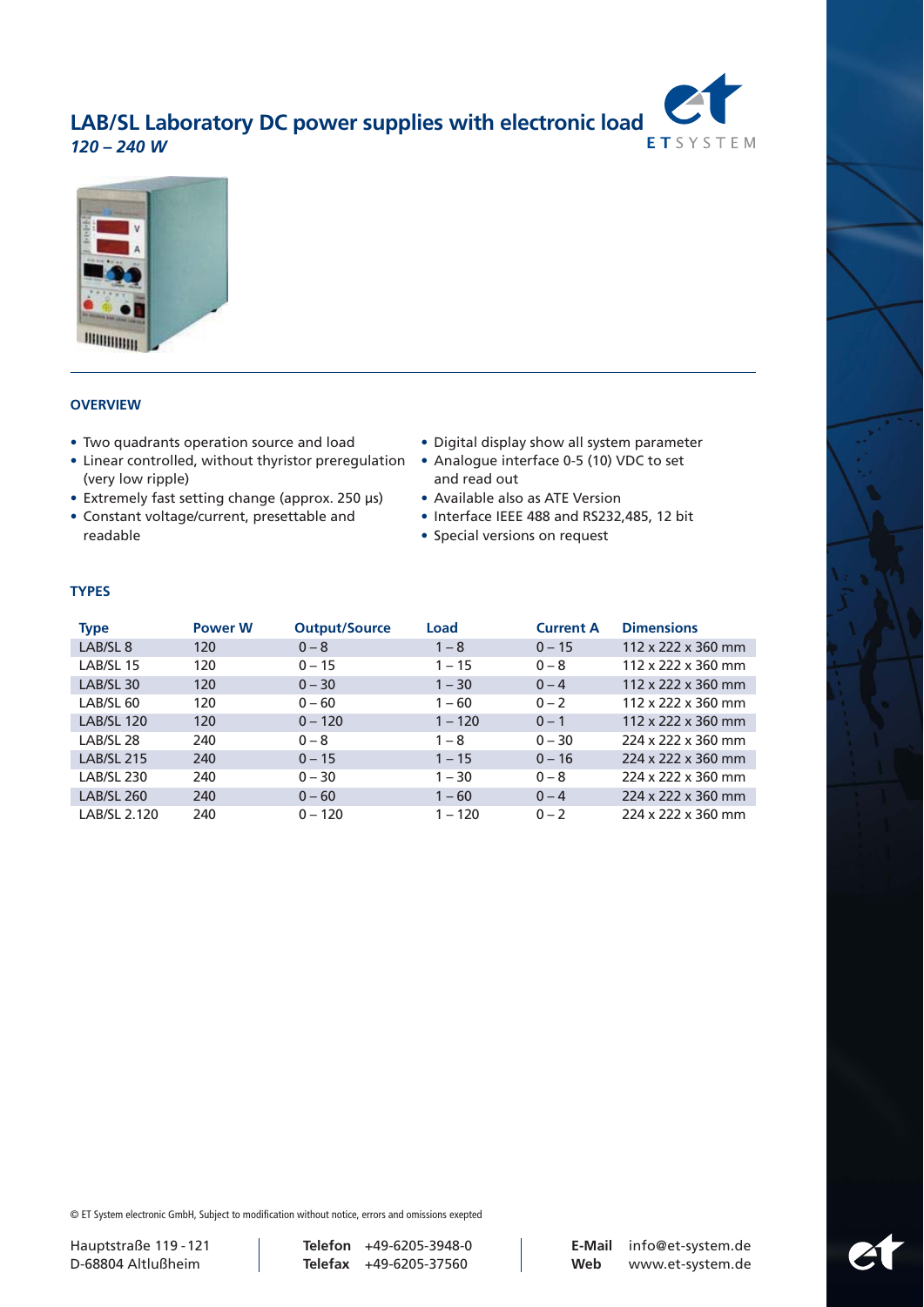



## **OVERVIEW**

- Two quadrants operation source and load
- Linear controlled, without thyristor preregulation (very low ripple)
- Extremely fast setting change (approx. 250 µs)
- Constant voltage/current, presettable and readable
- Digital display show all system parameter
- Analogue interface 0-5 (10) VDC to set and read out
- Available also as ATE Version
- Interface IEEE 488 and RS232,485, 12 bit
- Special versions on request

## **TYPES**

| <b>Type</b>         | <b>Power W</b> | <b>Output/Source</b> | Load      | <b>Current A</b> | <b>Dimensions</b>              |
|---------------------|----------------|----------------------|-----------|------------------|--------------------------------|
| LAB/SL <sub>8</sub> | 120            | $0 - 8$              | $1 - 8$   | $0 - 15$         | 112 x 222 x 360 mm             |
| LAB/SL 15           | 120            | $0 - 15$             | $1 - 15$  | $0 - 8$          | 112 x 222 x 360 mm             |
| LAB/SL 30           | 120            | $0 - 30$             | $1 - 30$  | $0 - 4$          | 112 x 222 x 360 mm             |
| LAB/SL 60           | 120            | $0 - 60$             | $1 - 60$  | $0 - 2$          | 112 x 222 x 360 mm             |
| <b>LAB/SL 120</b>   | 120            | $0 - 120$            | $1 - 120$ | $0 - 1$          | $112 \times 222 \times 360$ mm |
| LAB/SL 28           | 240            | $0 - 8$              | $1 - 8$   | $0 - 30$         | 224 x 222 x 360 mm             |
| <b>LAB/SL 215</b>   | 240            | $0 - 15$             | $1 - 15$  | $0 - 16$         | 224 x 222 x 360 mm             |
| <b>LAB/SL 230</b>   | 240            | $0 - 30$             | $1 - 30$  | $0 - 8$          | 224 x 222 x 360 mm             |
| <b>LAB/SL 260</b>   | 240            | $0 - 60$             | $1 - 60$  | $0 - 4$          | 224 x 222 x 360 mm             |
| LAB/SL 2.120        | 240            | $0 - 120$            | $1 - 120$ | $0 - 2$          | 224 x 222 x 360 mm             |

© ET System electronic GmbH, Subject to modification without notice, errors and omissions exepted

Hauptstraße 119 -121 **Telefon** +49-6205-3948-0 **E-Mail** info@et-system.de

D-68804 Altlußheim **Telefax** +49-6205-37560 **Web** www.et-system.de